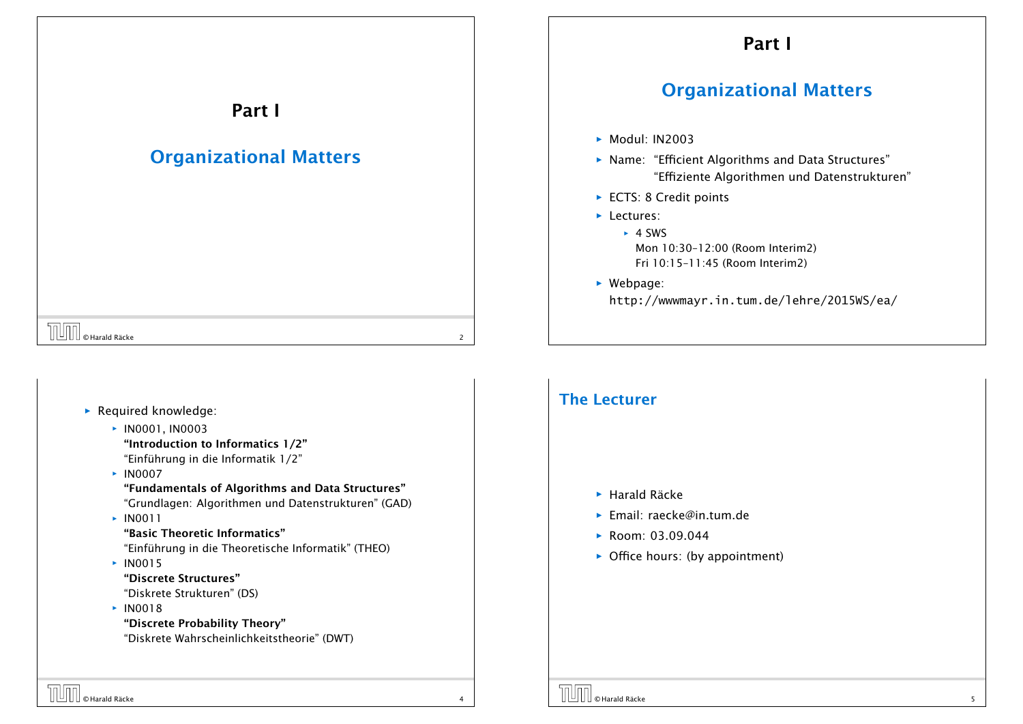## Part I

# Organizational Matters

- *ñ* Modul: IN2003
- **Name: "Efficient Algorithms and Data Structures"** "Effiziente Algorithmen und Datenstrukturen"
- ► ECTS: 8 Credit points
- **F** Lectures:
	- $\rightarrow$  4 SWS Mon 10:30–12:00 (Room Interim2) Fri 10:15–11:45 (Room Interim2)
- ▶ Webpage: http://wwwmayr.in.tum.de/lehre/2015WS/ea/

# $\boxed{\Box\Box\Box}$   $\odot$  Harald Räcke 2

#### **F** Required knowledge: *<sup>ñ</sup>* IN0001, IN0003 "Introduction to Informatics 1/2" "Einführung in die Informatik 1/2" *<sup>ñ</sup>* IN0007 "Fundamentals of Algorithms and Data Structures" "Grundlagen: Algorithmen und Datenstrukturen" (GAD) *<sup>ñ</sup>* IN0011 "Basic Theoretic Informatics" "Einführung in die Theoretische Informatik" (THEO)  $\times$  IN0015 "Discrete Structures" "Diskrete Strukturen" (DS)  $\cdot$  IN0018 "Discrete Probability Theory" "Diskrete Wahrscheinlichkeitstheorie" (DWT)

Part I

Organizational Matters

#### The Lecturer

- *ñ* Harald Räcke
- *ñ* Email: raecke@in.tum.de
- *ñ* Room: 03.09.044
- **•** Office hours: (by appointment)

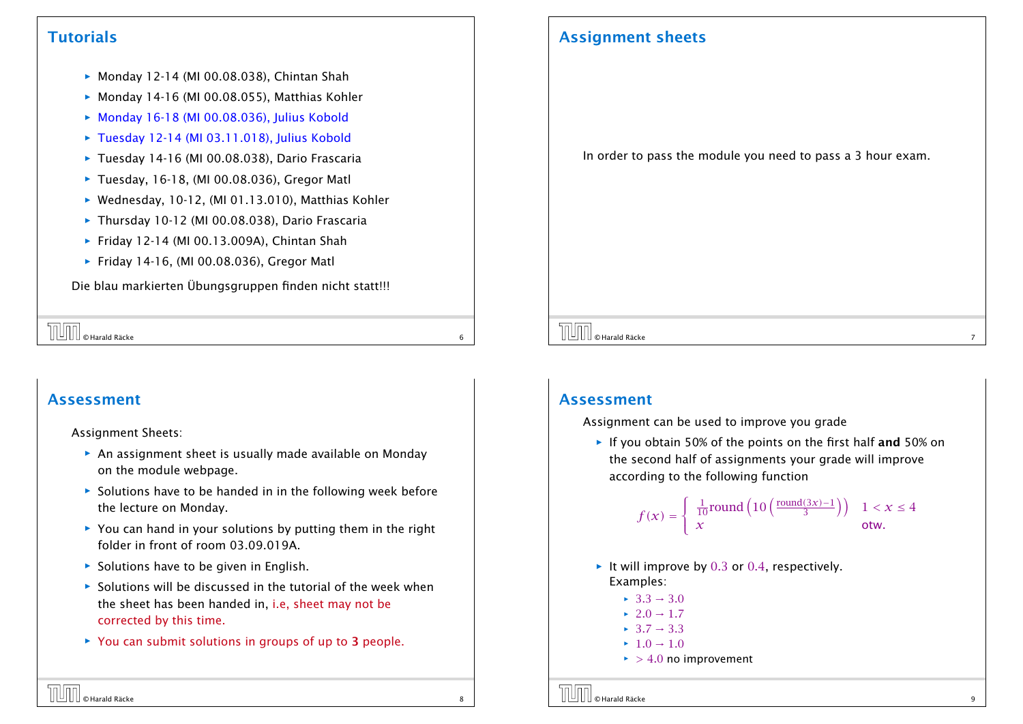#### **Tutorials**

- ▶ Monday 12-14 (MI 00.08.038), Chintan Shah
- ▶ Monday 14-16 (MI 00.08.055), Matthias Kohler
- **► Monday 16-18 (MI 00.08.036), Julius Kobold**
- **► Tuesday 12-14 (MI 03.11.018), Julius Kobold**
- ▶ Tuesday 14-16 (MI 00.08.038), Dario Frascaria
- ▶ Tuesday, 16-18, (MI 00.08.036), Gregor Matl
- ▶ Wednesday, 10-12, (MI 01.13.010), Matthias Kohler
- ▶ Thursday 10-12 (MI 00.08.038), Dario Frascaria
- **▶ Friday 12-14 (MI 00.13.009A), Chintan Shah**
- ▶ Friday 14-16, (MI 00.08.036), Gregor Matl

Die blau markierten Übungsgruppen finden nicht statt!!!

 $\begin{bmatrix} \begin{bmatrix} \begin{bmatrix} 0 \end{bmatrix} & \begin{bmatrix} 0 \end{bmatrix} & \begin{bmatrix} 0 \end{bmatrix} & \begin{bmatrix} 0 \end{bmatrix} & \begin{bmatrix} 0 \end{bmatrix} & \begin{bmatrix} 0 \end{bmatrix} & \begin{bmatrix} 0 \end{bmatrix} & \begin{bmatrix} 0 \end{bmatrix} & \begin{bmatrix} 0 \end{bmatrix} & \begin{bmatrix} 0 \end{bmatrix} & \begin{bmatrix} 0 \end{bmatrix} & \begin{bmatrix} 0 \end{bmatrix} & \begin{bmatrix} 0 \end{bmatrix} & \begin{bmatrix} 0 \end{bmatrix$ 

#### Assessment

#### Assignment Sheets:

- **An assignment sheet is usually made available on Monday** on the module webpage.
- ▶ Solutions have to be handed in in the following week before the lecture on Monday.
- ▶ You can hand in your solutions by putting them in the right folder in front of room 03.09.019A.
- ▶ Solutions have to be given in English.
- **F** Solutions will be discussed in the tutorial of the week when the sheet has been handed in, i.e, sheet may not be corrected by this time.
- **▶ You can submit solutions in groups of up to 3 people.**

### Assignment sheets

In order to pass the module you need to pass a 3 hour exam.

## © Harald Räcke 7

#### Assessment

Assignment can be used to improve you grade

**F** If you obtain 50% of the points on the first half and 50% on the second half of assignments your grade will improve according to the following function

$$
f(x) = \begin{cases} \frac{1}{10} \text{round}\left(10\left(\frac{\text{round}(3x) - 1}{3}\right)\right) & 1 < x \le 4\\ x & \text{otw.} \end{cases}
$$

- ▶ It will improve by 0.3 or 0.4, respectively. Examples:
	- $\blacktriangleright$  3*.3*  $\rightarrow$  3*.0*
	- $\rightarrow$  2*.0*  $\rightarrow$  1*.7*
	- *<sup>ñ</sup>* 3*.*7 → 3*.*3
	- $\blacktriangleright$  1*.*0  $\rightarrow$  1*.*0
	- $\blacktriangleright$  > 4*.*0 no improvement